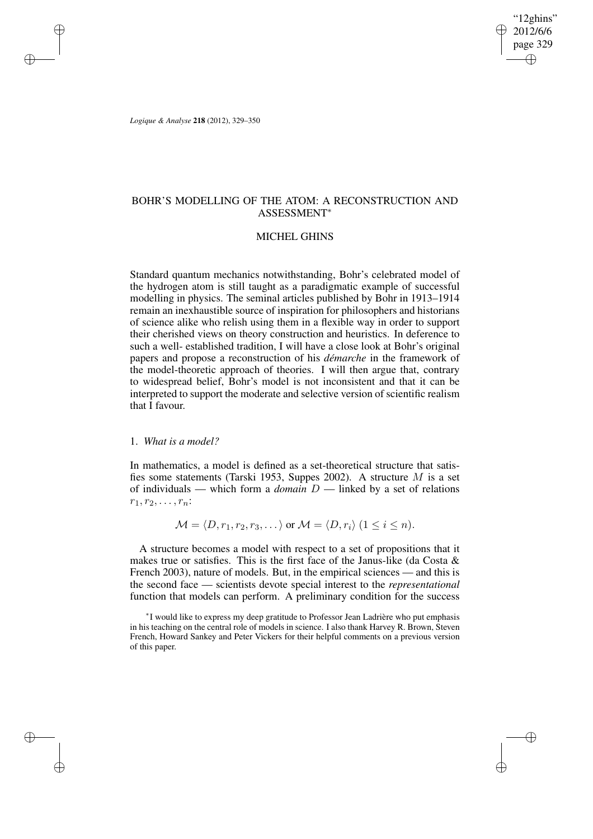"12ghins" 2012/6/6 page 329 ✐ ✐

✐

✐

*Logique & Analyse* **218** (2012), 329–350

✐

✐

✐

✐

# BOHR'S MODELLING OF THE ATOM: A RECONSTRUCTION AND ASSESSMENT<sup>∗</sup>

## MICHEL GHINS

Standard quantum mechanics notwithstanding, Bohr's celebrated model of the hydrogen atom is still taught as a paradigmatic example of successful modelling in physics. The seminal articles published by Bohr in 1913–1914 remain an inexhaustible source of inspiration for philosophers and historians of science alike who relish using them in a flexible way in order to support their cherished views on theory construction and heuristics. In deference to such a well- established tradition, I will have a close look at Bohr's original papers and propose a reconstruction of his *démarche* in the framework of the model-theoretic approach of theories. I will then argue that, contrary to widespread belief, Bohr's model is not inconsistent and that it can be interpreted to support the moderate and selective version of scientific realism that I favour.

# 1. *What is a model?*

In mathematics, a model is defined as a set-theoretical structure that satisfies some statements (Tarski 1953, Suppes 2002). A structure M is a set of individuals — which form a *domain* D — linked by a set of relations  $r_1, r_2, \ldots, r_n$ :

 $M = \langle D, r_1, r_2, r_3, \dots \rangle$  or  $\mathcal{M} = \langle D, r_i \rangle$   $(1 \leq i \leq n)$ .

A structure becomes a model with respect to a set of propositions that it makes true or satisfies. This is the first face of the Janus-like (da Costa  $\&$ French 2003), nature of models. But, in the empirical sciences — and this is the second face — scientists devote special interest to the *representational* function that models can perform. A preliminary condition for the success

<sup>∗</sup> I would like to express my deep gratitude to Professor Jean Ladrière who put emphasis in his teaching on the central role of models in science. I also thank Harvey R. Brown, Steven French, Howard Sankey and Peter Vickers for their helpful comments on a previous version of this paper.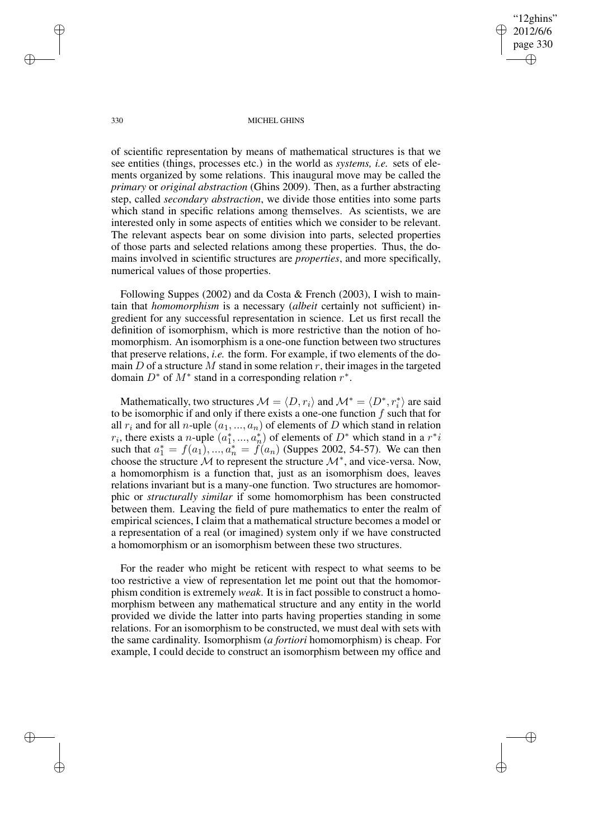"12ghins" 2012/6/6 page 330 ✐ ✐

✐

✐

#### 330 MICHEL GHINS

of scientific representation by means of mathematical structures is that we see entities (things, processes etc.) in the world as *systems, i.e.* sets of elements organized by some relations. This inaugural move may be called the *primary* or *original abstraction* (Ghins 2009). Then, as a further abstracting step, called *secondary abstraction*, we divide those entities into some parts which stand in specific relations among themselves. As scientists, we are interested only in some aspects of entities which we consider to be relevant. The relevant aspects bear on some division into parts, selected properties of those parts and selected relations among these properties. Thus, the domains involved in scientific structures are *properties*, and more specifically, numerical values of those properties.

Following Suppes (2002) and da Costa & French (2003), I wish to maintain that *homomorphism* is a necessary (*albeit* certainly not sufficient) ingredient for any successful representation in science. Let us first recall the definition of isomorphism, which is more restrictive than the notion of homomorphism. An isomorphism is a one-one function between two structures that preserve relations, *i.e.* the form. For example, if two elements of the domain D of a structure M stand in some relation r, their images in the targeted domain  $D^*$  of  $M^*$  stand in a corresponding relation  $r^*$ .

Mathematically, two structures  $\mathcal{M} = \langle D, r_i \rangle$  and  $\mathcal{M}^* = \langle D^*, r_i^* \rangle$  $\binom{*}{i}$  are said to be isomorphic if and only if there exists a one-one function  $f$  such that for all  $r_i$  and for all n-uple  $(a_1, ..., a_n)$  of elements of D which stand in relation  $r_i$ , there exists a *n*-uple  $(a_1^*,...,a_n^*)$  $\binom{m}{n}$  of elements of  $D^*$  which stand in a  $r^*i$ such that  $a_1^* = f(a_1), ..., a_n^* = f'(a_n)$  (Suppes 2002, 54-57). We can then choose the structure  $\mathcal M$  to represent the structure  $\mathcal M^*$ , and vice-versa. Now, a homomorphism is a function that, just as an isomorphism does, leaves relations invariant but is a many-one function. Two structures are homomorphic or *structurally similar* if some homomorphism has been constructed between them. Leaving the field of pure mathematics to enter the realm of empirical sciences, I claim that a mathematical structure becomes a model or a representation of a real (or imagined) system only if we have constructed a homomorphism or an isomorphism between these two structures.

For the reader who might be reticent with respect to what seems to be too restrictive a view of representation let me point out that the homomorphism condition is extremely *weak*. It is in fact possible to construct a homomorphism between any mathematical structure and any entity in the world provided we divide the latter into parts having properties standing in some relations. For an isomorphism to be constructed, we must deal with sets with the same cardinality. Isomorphism (*a fortiori* homomorphism) is cheap. For example, I could decide to construct an isomorphism between my office and

✐

✐

✐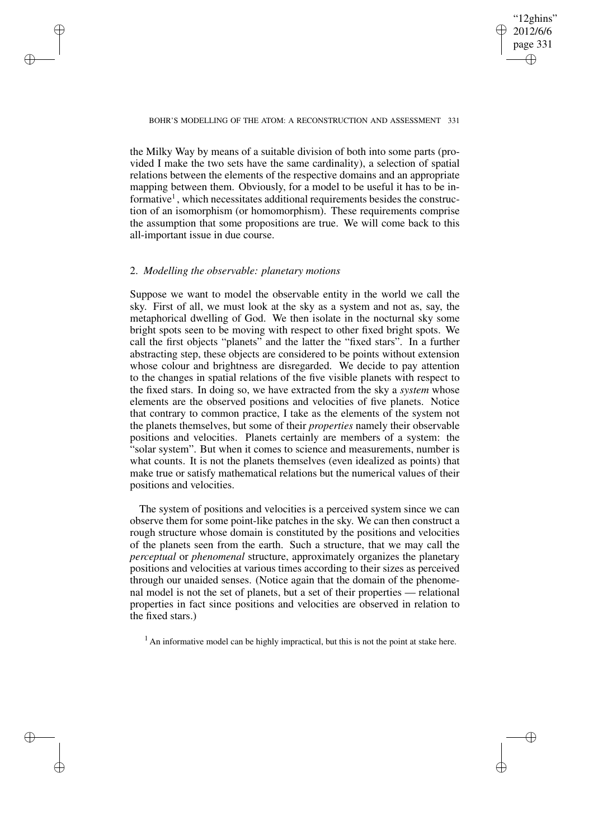## "12ghins" 2012/6/6 page 331 ✐ ✐

✐

✐

### BOHR'S MODELLING OF THE ATOM: A RECONSTRUCTION AND ASSESSMENT 331

the Milky Way by means of a suitable division of both into some parts (provided I make the two sets have the same cardinality), a selection of spatial relations between the elements of the respective domains and an appropriate mapping between them. Obviously, for a model to be useful it has to be informative<sup>1</sup>, which necessitates additional requirements besides the construction of an isomorphism (or homomorphism). These requirements comprise the assumption that some propositions are true. We will come back to this all-important issue in due course.

# 2. *Modelling the observable: planetary motions*

✐

✐

✐

✐

Suppose we want to model the observable entity in the world we call the sky. First of all, we must look at the sky as a system and not as, say, the metaphorical dwelling of God. We then isolate in the nocturnal sky some bright spots seen to be moving with respect to other fixed bright spots. We call the first objects "planets" and the latter the "fixed stars". In a further abstracting step, these objects are considered to be points without extension whose colour and brightness are disregarded. We decide to pay attention to the changes in spatial relations of the five visible planets with respect to the fixed stars. In doing so, we have extracted from the sky a *system* whose elements are the observed positions and velocities of five planets. Notice that contrary to common practice, I take as the elements of the system not the planets themselves, but some of their *properties* namely their observable positions and velocities. Planets certainly are members of a system: the "solar system". But when it comes to science and measurements, number is what counts. It is not the planets themselves (even idealized as points) that make true or satisfy mathematical relations but the numerical values of their positions and velocities.

The system of positions and velocities is a perceived system since we can observe them for some point-like patches in the sky. We can then construct a rough structure whose domain is constituted by the positions and velocities of the planets seen from the earth. Such a structure, that we may call the *perceptual* or *phenomenal* structure, approximately organizes the planetary positions and velocities at various times according to their sizes as perceived through our unaided senses. (Notice again that the domain of the phenomenal model is not the set of planets, but a set of their properties — relational properties in fact since positions and velocities are observed in relation to the fixed stars.)

 $<sup>1</sup>$  An informative model can be highly impractical, but this is not the point at stake here.</sup>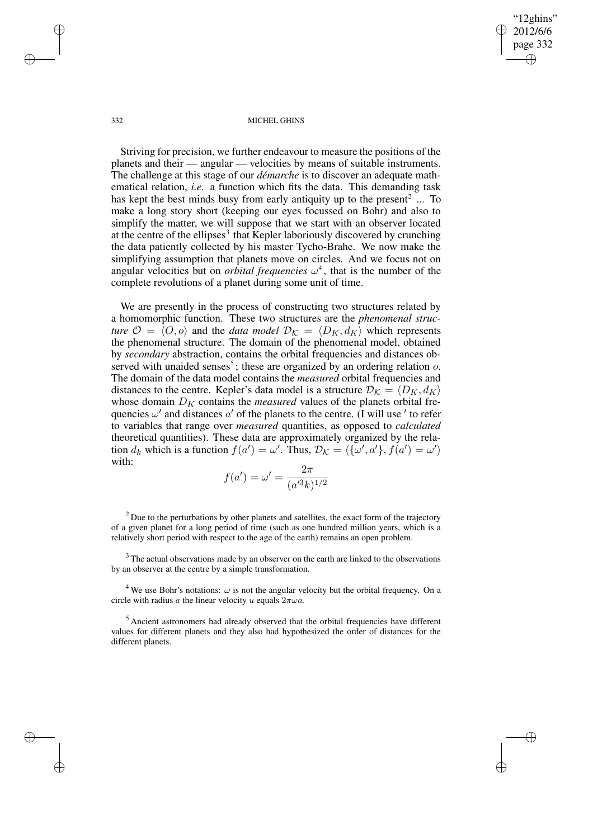✐

#### 332 MICHEL GHINS

Striving for precision, we further endeavour to measure the positions of the planets and their — angular — velocities by means of suitable instruments. The challenge at this stage of our *démarche* is to discover an adequate mathematical relation, *i.e.* a function which fits the data. This demanding task has kept the best minds busy from early antiquity up to the present<sup>2</sup> ... To make a long story short (keeping our eyes focussed on Bohr) and also to simplify the matter, we will suppose that we start with an observer located at the centre of the ellipses<sup>3</sup> that Kepler laboriously discovered by crunching the data patiently collected by his master Tycho-Brahe. We now make the simplifying assumption that planets move on circles. And we focus not on angular velocities but on *orbital frequencies*  $\omega^4$ , that is the number of the complete revolutions of a planet during some unit of time.

We are presently in the process of constructing two structures related by a homomorphic function. These two structures are the *phenomenal structure*  $\mathcal{O} = \langle O, o \rangle$  and the *data model*  $\mathcal{D}_{\mathcal{K}} = \langle D_K, d_K \rangle$  which represents the phenomenal structure. The domain of the phenomenal model, obtained by *secondary* abstraction, contains the orbital frequencies and distances observed with unaided senses<sup>5</sup>; these are organized by an ordering relation  $o$ . The domain of the data model contains the *measured* orbital frequencies and distances to the centre. Kepler's data model is a structure  $\mathcal{D}_K = \langle D_K, d_K \rangle$ whose domain  $D<sub>K</sub>$  contains the *measured* values of the planets orbital frequencies  $\omega'$  and distances  $a'$  of the planets to the centre. (I will use ' to refer to variables that range over *measured* quantities, as opposed to *calculated* theoretical quantities). These data are approximately organized by the relation  $d_k$  which is a function  $f(a') = \omega'$ . Thus,  $\mathcal{D}_\mathcal{K} = \langle {\{\omega', a'\}, f(a') = \omega'} \rangle$ with:

$$
f(a') = \omega' = \frac{2\pi}{(a'^3k)^{1/2}}
$$

 $2$  Due to the perturbations by other planets and satellites, the exact form of the trajectory of a given planet for a long period of time (such as one hundred million years, which is a relatively short period with respect to the age of the earth) remains an open problem.

<sup>3</sup> The actual observations made by an observer on the earth are linked to the observations by an observer at the centre by a simple transformation.

<sup>4</sup> We use Bohr's notations:  $\omega$  is not the angular velocity but the orbital frequency. On a circle with radius a the linear velocity u equals  $2\pi\omega a$ .

<sup>5</sup> Ancient astronomers had already observed that the orbital frequencies have different values for different planets and they also had hypothesized the order of distances for the different planets.

✐

✐

✐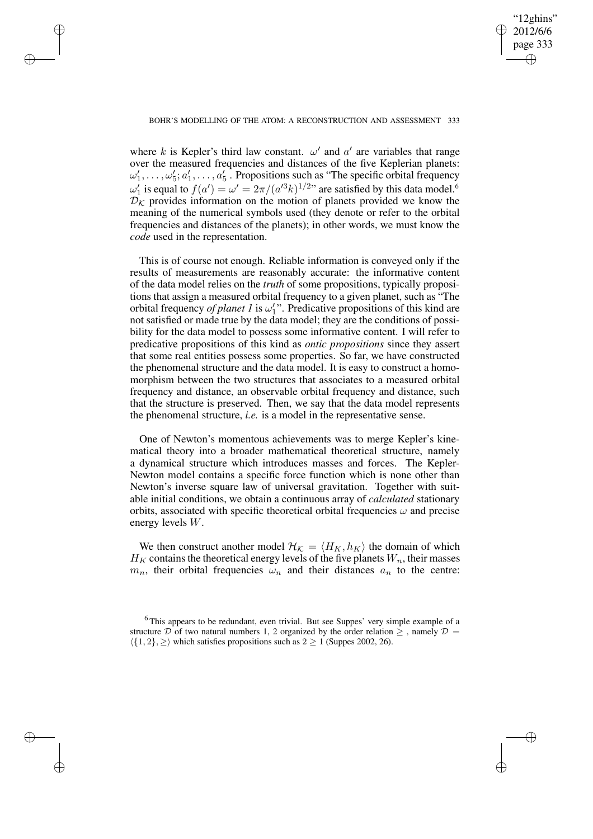✐

## BOHR'S MODELLING OF THE ATOM: A RECONSTRUCTION AND ASSESSMENT 333

✐

✐

✐

✐

where k is Kepler's third law constant.  $\omega'$  and  $\alpha'$  are variables that range over the measured frequencies and distances of the five Keplerian planets:  $\omega'_1, \ldots, \omega'_5; a'_1, \ldots, a'_5$ . Propositions such as "The specific orbital frequency"  $\omega_1'$  is equal to  $f(a') = \omega' = 2\pi/(a'^3k)^{1/2}$  are satisfied by this data model.<sup>6</sup>  $D_K$  provides information on the motion of planets provided we know the meaning of the numerical symbols used (they denote or refer to the orbital frequencies and distances of the planets); in other words, we must know the *code* used in the representation.

This is of course not enough. Reliable information is conveyed only if the results of measurements are reasonably accurate: the informative content of the data model relies on the *truth* of some propositions, typically propositions that assign a measured orbital frequency to a given planet, such as "The orbital frequency *of planet 1* is  $\omega_1$ ". Predicative propositions of this kind are not satisfied or made true by the data model; they are the conditions of possibility for the data model to possess some informative content. I will refer to predicative propositions of this kind as *ontic propositions* since they assert that some real entities possess some properties. So far, we have constructed the phenomenal structure and the data model. It is easy to construct a homomorphism between the two structures that associates to a measured orbital frequency and distance, an observable orbital frequency and distance, such that the structure is preserved. Then, we say that the data model represents the phenomenal structure, *i.e.* is a model in the representative sense.

One of Newton's momentous achievements was to merge Kepler's kinematical theory into a broader mathematical theoretical structure, namely a dynamical structure which introduces masses and forces. The Kepler-Newton model contains a specific force function which is none other than Newton's inverse square law of universal gravitation. Together with suitable initial conditions, we obtain a continuous array of *calculated* stationary orbits, associated with specific theoretical orbital frequencies  $\omega$  and precise energy levels W.

We then construct another model  $\mathcal{H}_{\mathcal{K}} = \langle H_K, h_K \rangle$  the domain of which  $H_K$  contains the theoretical energy levels of the five planets  $W_n$ , their masses  $m_n$ , their orbital frequencies  $\omega_n$  and their distances  $a_n$  to the centre:

<sup>&</sup>lt;sup>6</sup>This appears to be redundant, even trivial. But see Suppes' very simple example of a structure D of two natural numbers 1, 2 organized by the order relation  $\geq$ , namely  $\mathcal{D} =$  $\langle \{1, 2\}, \rangle$  which satisfies propositions such as  $2 \ge 1$  (Suppes 2002, 26).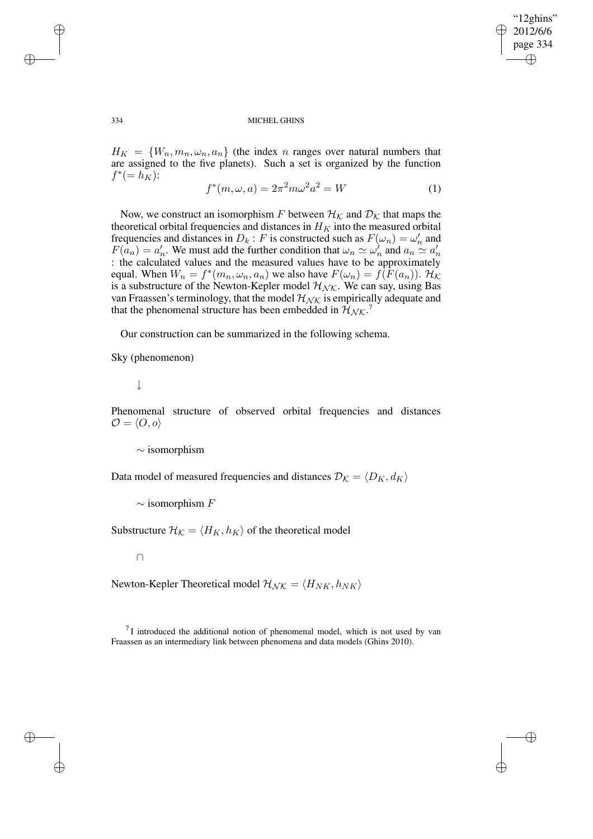✐

### 334 MICHEL GHINS

 $H_K = \{W_n, m_n, \omega_n, a_n\}$  (the index n ranges over natural numbers that are assigned to the five planets). Such a set is organized by the function  $f^* (= h_K^{\mathcal{S}})$ :

$$
f^*(m, \omega, a) = 2\pi^2 m \omega^2 a^2 = W
$$
 (1)

Now, we construct an isomorphism F between  $\mathcal{H}_{\mathcal{K}}$  and  $\mathcal{D}_{\mathcal{K}}$  that maps the theoretical orbital frequencies and distances in  $H_K$  into the measured orbital frequencies and distances in  $D_k$ : F is constructed such as  $F(\omega_n) = \omega'_n$  $n \n$  and  $F(a_n) = a'_n$ <sup>'</sup><sub>n</sub>. We must add the further condition that  $\omega_n \simeq \omega_n^{\gamma}$  $\sum_{n=1}^{\infty}$  and  $a_n \simeq a'_n$ n : the calculated values and the measured values have to be approximately equal. When  $W_n = f^*(m_n, \omega_n, a_n)$  we also have  $F(\omega_n) = f(F(a_n))$ .  $\mathcal{H}_\mathcal{K}$ is a substructure of the Newton-Kepler model  $\mathcal{H}_{\mathcal{NK}}$ . We can say, using Bas van Fraassen's terminology, that the model  $\mathcal{H}_{\mathcal{NK}}$  is empirically adequate and that the phenomenal structure has been embedded in  $\mathcal{H}_{\mathcal{N}\mathcal{K}}$ .<sup>7</sup>

Our construction can be summarized in the following schema.

Sky (phenomenon)

# ↓

Phenomenal structure of observed orbital frequencies and distances  $\mathcal{O} = \langle O, o \rangle$ 

∼ isomorphism

Data model of measured frequencies and distances  $\mathcal{D}_{\mathcal{K}} = \langle D_K, d_K \rangle$ 

 $\sim$  isomorphism  $F$ 

Substructure  $\mathcal{H}_{\mathcal{K}} = \langle H_K, h_K \rangle$  of the theoretical model

∩

Newton-Kepler Theoretical model  $\mathcal{H}_{NK} = \langle H_{NK}, h_{NK} \rangle$ 

 $7$ I introduced the additional notion of phenomenal model, which is not used by van Fraassen as an intermediary link between phenomena and data models (Ghins 2010).

✐

✐

✐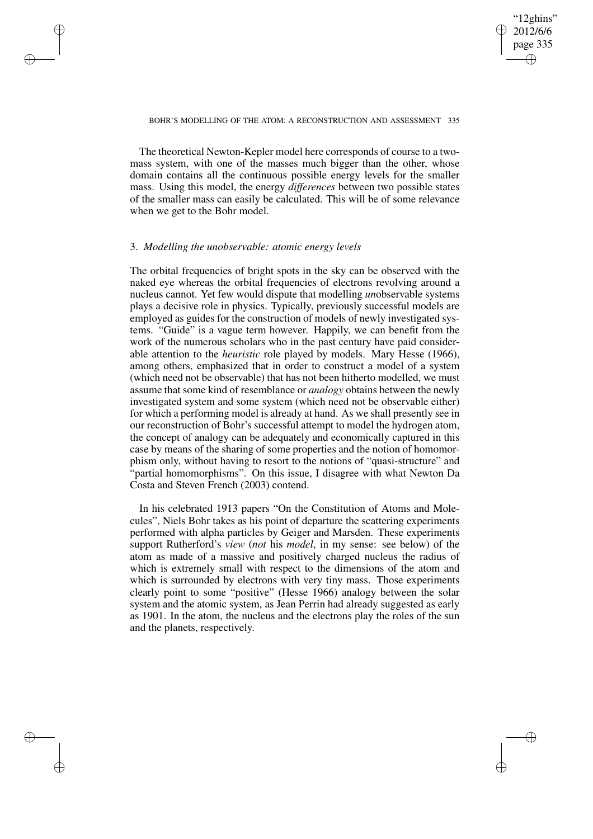## "12ghins" 2012/6/6 page 335 ✐ ✐

✐

✐

### BOHR'S MODELLING OF THE ATOM: A RECONSTRUCTION AND ASSESSMENT 335

The theoretical Newton-Kepler model here corresponds of course to a twomass system, with one of the masses much bigger than the other, whose domain contains all the continuous possible energy levels for the smaller mass. Using this model, the energy *differences* between two possible states of the smaller mass can easily be calculated. This will be of some relevance when we get to the Bohr model.

# 3. *Modelling the unobservable: atomic energy levels*

✐

✐

✐

✐

The orbital frequencies of bright spots in the sky can be observed with the naked eye whereas the orbital frequencies of electrons revolving around a nucleus cannot. Yet few would dispute that modelling *un*observable systems plays a decisive role in physics. Typically, previously successful models are employed as guides for the construction of models of newly investigated systems. "Guide" is a vague term however. Happily, we can benefit from the work of the numerous scholars who in the past century have paid considerable attention to the *heuristic* role played by models. Mary Hesse (1966), among others, emphasized that in order to construct a model of a system (which need not be observable) that has not been hitherto modelled, we must assume that some kind of resemblance or *analogy* obtains between the newly investigated system and some system (which need not be observable either) for which a performing model is already at hand. As we shall presently see in our reconstruction of Bohr's successful attempt to model the hydrogen atom, the concept of analogy can be adequately and economically captured in this case by means of the sharing of some properties and the notion of homomorphism only, without having to resort to the notions of "quasi-structure" and "partial homomorphisms". On this issue, I disagree with what Newton Da Costa and Steven French (2003) contend.

In his celebrated 1913 papers "On the Constitution of Atoms and Molecules", Niels Bohr takes as his point of departure the scattering experiments performed with alpha particles by Geiger and Marsden. These experiments support Rutherford's *view* (*not* his *model*, in my sense: see below) of the atom as made of a massive and positively charged nucleus the radius of which is extremely small with respect to the dimensions of the atom and which is surrounded by electrons with very tiny mass. Those experiments clearly point to some "positive" (Hesse 1966) analogy between the solar system and the atomic system, as Jean Perrin had already suggested as early as 1901. In the atom, the nucleus and the electrons play the roles of the sun and the planets, respectively.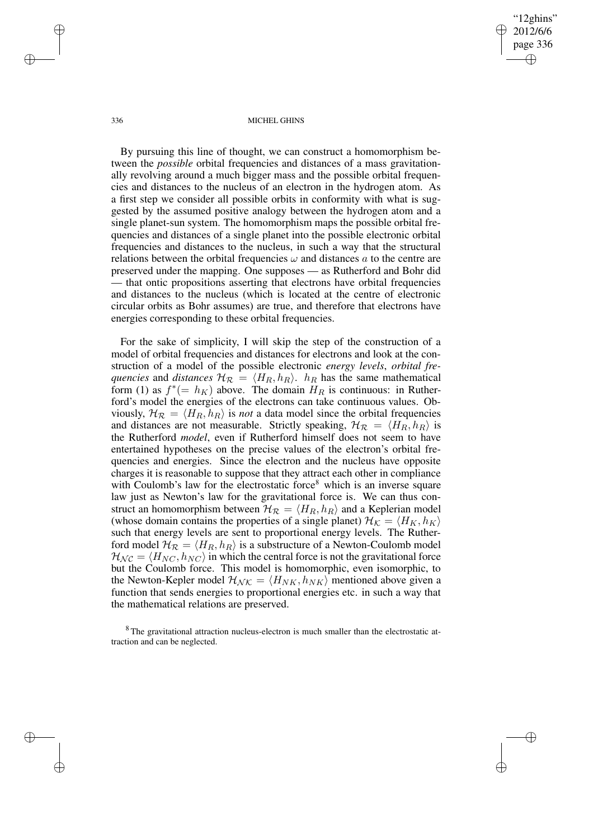✐

#### 336 MICHEL GHINS

By pursuing this line of thought, we can construct a homomorphism between the *possible* orbital frequencies and distances of a mass gravitationally revolving around a much bigger mass and the possible orbital frequencies and distances to the nucleus of an electron in the hydrogen atom. As a first step we consider all possible orbits in conformity with what is suggested by the assumed positive analogy between the hydrogen atom and a single planet-sun system. The homomorphism maps the possible orbital frequencies and distances of a single planet into the possible electronic orbital frequencies and distances to the nucleus, in such a way that the structural relations between the orbital frequencies  $\omega$  and distances a to the centre are preserved under the mapping. One supposes — as Rutherford and Bohr did — that ontic propositions asserting that electrons have orbital frequencies and distances to the nucleus (which is located at the centre of electronic circular orbits as Bohr assumes) are true, and therefore that electrons have energies corresponding to these orbital frequencies.

For the sake of simplicity, I will skip the step of the construction of a model of orbital frequencies and distances for electrons and look at the construction of a model of the possible electronic *energy levels*, *orbital frequencies* and *distances*  $\mathcal{H}_{\mathcal{R}} = \langle H_R, h_R \rangle$ .  $h_R$  has the same mathematical form (1) as  $f^*(- h_K)$  above. The domain  $H_R$  is continuous: in Rutherford's model the energies of the electrons can take continuous values. Obviously,  $\mathcal{H}_{\mathcal{R}} = \langle H_R, h_R \rangle$  is *not* a data model since the orbital frequencies and distances are not measurable. Strictly speaking,  $\mathcal{H}_{\mathcal{R}} = \langle H_R, h_R \rangle$  is the Rutherford *model*, even if Rutherford himself does not seem to have entertained hypotheses on the precise values of the electron's orbital frequencies and energies. Since the electron and the nucleus have opposite charges it is reasonable to suppose that they attract each other in compliance with Coulomb's law for the electrostatic force<sup>8</sup> which is an inverse square law just as Newton's law for the gravitational force is. We can thus construct an homomorphism between  $\mathcal{H}_{\mathcal{R}} = \langle H_R, h_R \rangle$  and a Keplerian model (whose domain contains the properties of a single planet)  $\mathcal{H}_{\mathcal{K}} = \langle H_K, h_K \rangle$ such that energy levels are sent to proportional energy levels. The Rutherford model  $\mathcal{H}_{\mathcal{R}} = \langle H_R, h_R \rangle$  is a substructure of a Newton-Coulomb model  $\mathcal{H}_{\mathcal{NC}} = \langle H_{\mathcal{NC}}, h_{\mathcal{NC}} \rangle$  in which the central force is not the gravitational force but the Coulomb force. This model is homomorphic, even isomorphic, to the Newton-Kepler model  $\mathcal{H}_{\mathcal{N}\mathcal{K}} = \langle H_{NK}, h_{NK} \rangle$  mentioned above given a function that sends energies to proportional energies etc. in such a way that the mathematical relations are preserved.

<sup>8</sup> The gravitational attraction nucleus-electron is much smaller than the electrostatic attraction and can be neglected.

✐

✐

✐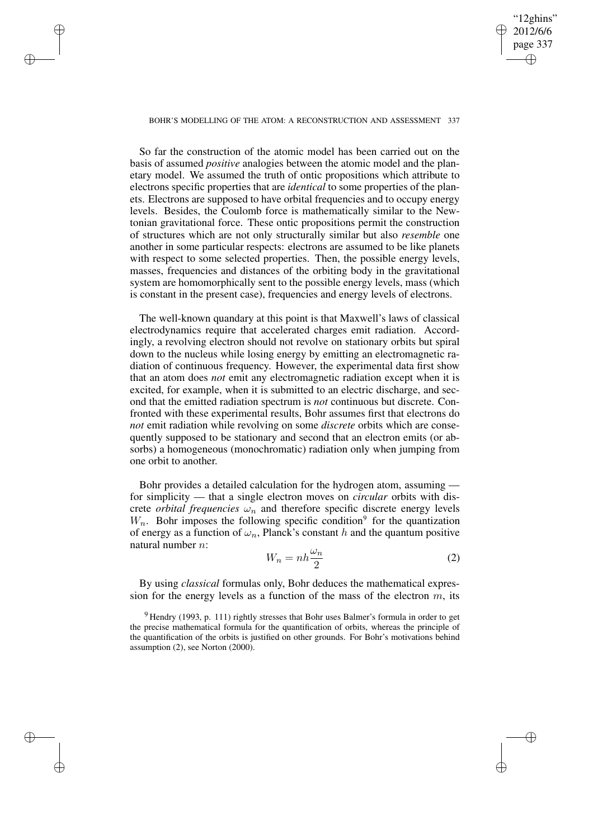## "12ghins" 2012/6/6 page 337 ✐ ✐

✐

✐

### BOHR'S MODELLING OF THE ATOM: A RECONSTRUCTION AND ASSESSMENT 337

✐

✐

✐

✐

So far the construction of the atomic model has been carried out on the basis of assumed *positive* analogies between the atomic model and the planetary model. We assumed the truth of ontic propositions which attribute to electrons specific properties that are *identical* to some properties of the planets. Electrons are supposed to have orbital frequencies and to occupy energy levels. Besides, the Coulomb force is mathematically similar to the Newtonian gravitational force. These ontic propositions permit the construction of structures which are not only structurally similar but also *resemble* one another in some particular respects: electrons are assumed to be like planets with respect to some selected properties. Then, the possible energy levels, masses, frequencies and distances of the orbiting body in the gravitational system are homomorphically sent to the possible energy levels, mass (which is constant in the present case), frequencies and energy levels of electrons.

The well-known quandary at this point is that Maxwell's laws of classical electrodynamics require that accelerated charges emit radiation. Accordingly, a revolving electron should not revolve on stationary orbits but spiral down to the nucleus while losing energy by emitting an electromagnetic radiation of continuous frequency. However, the experimental data first show that an atom does *not* emit any electromagnetic radiation except when it is excited, for example, when it is submitted to an electric discharge, and second that the emitted radiation spectrum is *not* continuous but discrete. Confronted with these experimental results, Bohr assumes first that electrons do *not* emit radiation while revolving on some *discrete* orbits which are consequently supposed to be stationary and second that an electron emits (or absorbs) a homogeneous (monochromatic) radiation only when jumping from one orbit to another.

Bohr provides a detailed calculation for the hydrogen atom, assuming for simplicity — that a single electron moves on *circular* orbits with discrete *orbital frequencies*  $\omega_n$  and therefore specific discrete energy levels  $W_n$ . Bohr imposes the following specific condition<sup>9</sup> for the quantization of energy as a function of  $\omega_n$ , Planck's constant h and the quantum positive natural number n:

$$
W_n = nh \frac{\omega_n}{2} \tag{2}
$$

By using *classical* formulas only, Bohr deduces the mathematical expression for the energy levels as a function of the mass of the electron  $m$ , its

 $9$  Hendry (1993, p. 111) rightly stresses that Bohr uses Balmer's formula in order to get the precise mathematical formula for the quantification of orbits, whereas the principle of the quantification of the orbits is justified on other grounds. For Bohr's motivations behind assumption (2), see Norton (2000).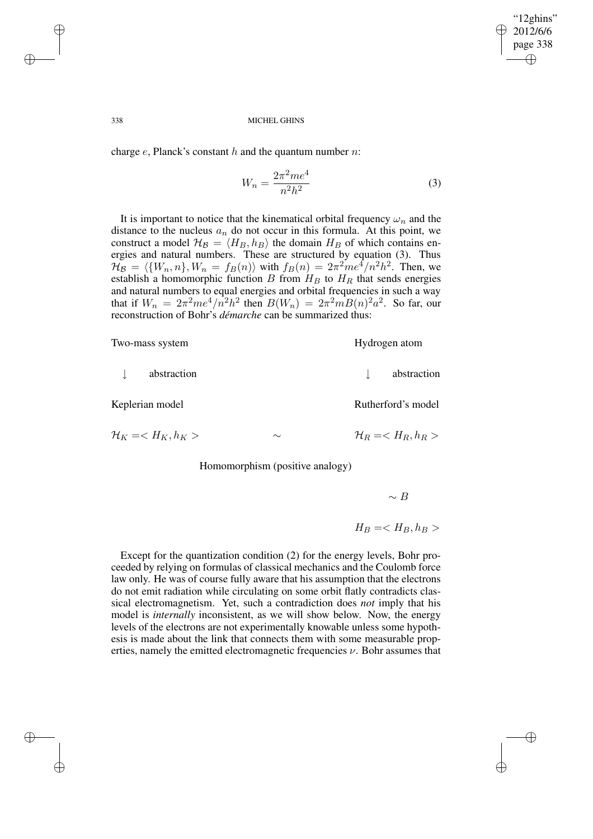✐

### 338 MICHEL GHINS

charge  $e$ , Planck's constant  $h$  and the quantum number  $n$ :

$$
W_n = \frac{2\pi^2 m e^4}{n^2 h^2} \tag{3}
$$

It is important to notice that the kinematical orbital frequency  $\omega_n$  and the distance to the nucleus  $a_n$  do not occur in this formula. At this point, we construct a model  $\mathcal{H}_{\mathcal{B}} = \langle H_B, h_B \rangle$  the domain  $H_B$  of which contains energies and natural numbers. These are structured by equation (3). Thus  $\mathcal{H}_{\mathcal{B}} = \langle \{W_n, n\}, W_n = f_B(n) \rangle$  with  $f_B(n) = 2\pi^2 m e^4/n^2 h^2$ . Then, we establish a homomorphic function B from  $H_B$  to  $H_R$  that sends energies and natural numbers to equal energies and orbital frequencies in such a way that if  $W_n = 2\pi^2me^4/n^2h^2$  then  $B(W_n) = 2\pi^2mB(n)^2a^2$ . So far, our reconstruction of Bohr's *démarche* can be summarized thus:

| Two-mass system                            |        | Hydrogen atom                              |
|--------------------------------------------|--------|--------------------------------------------|
| abstraction                                |        | abstraction                                |
| Keplerian model                            |        | Rutherford's model                         |
| $\mathcal{H}_K = \langle H_K, h_K \rangle$ | $\sim$ | $\mathcal{H}_R = \langle H_R, h_R \rangle$ |
|                                            |        |                                            |

Homomorphism (positive analogy)

 $∼$  B

# $H_B = H_B, h_B >$

Except for the quantization condition (2) for the energy levels, Bohr proceeded by relying on formulas of classical mechanics and the Coulomb force law only. He was of course fully aware that his assumption that the electrons do not emit radiation while circulating on some orbit flatly contradicts classical electromagnetism. Yet, such a contradiction does *not* imply that his model is *internally* inconsistent, as we will show below. Now, the energy levels of the electrons are not experimentally knowable unless some hypothesis is made about the link that connects them with some measurable properties, namely the emitted electromagnetic frequencies  $\nu$ . Bohr assumes that

✐

✐

✐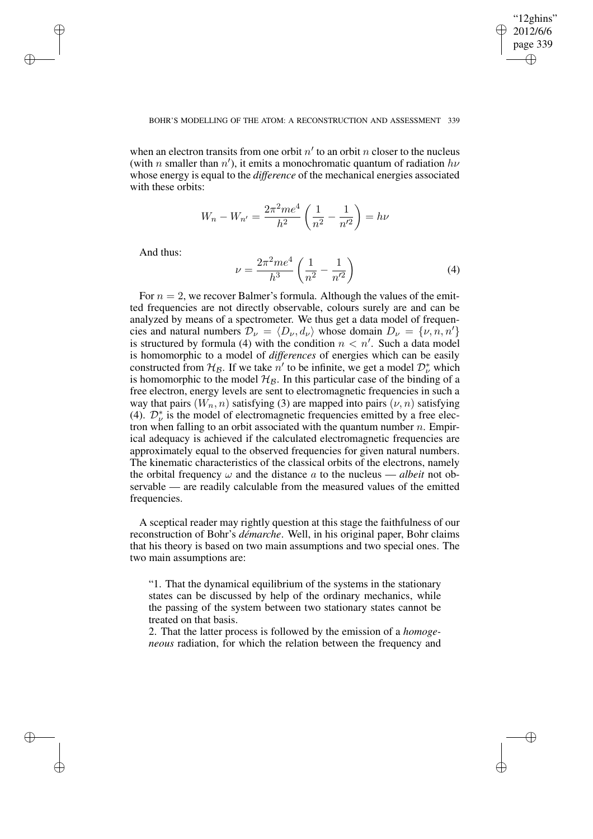✐

## BOHR'S MODELLING OF THE ATOM: A RECONSTRUCTION AND ASSESSMENT 339

when an electron transits from one orbit  $n'$  to an orbit n closer to the nucleus (with *n* smaller than  $n'$ ), it emits a monochromatic quantum of radiation  $h\nu$ whose energy is equal to the *difference* of the mechanical energies associated with these orbits:

$$
W_n - W_{n'} = \frac{2\pi^2me^4}{h^2} \left(\frac{1}{n^2} - \frac{1}{n'^2}\right) = h\nu
$$

And thus:

✐

✐

✐

✐

$$
\nu = \frac{2\pi^2 m e^4}{h^3} \left( \frac{1}{n^2} - \frac{1}{n'^2} \right)
$$
 (4)

For  $n = 2$ , we recover Balmer's formula. Although the values of the emitted frequencies are not directly observable, colours surely are and can be analyzed by means of a spectrometer. We thus get a data model of frequencies and natural numbers  $\mathcal{D}_{\nu} = \langle D_{\nu}, d_{\nu} \rangle$  whose domain  $D_{\nu} = \{ \nu, n, n' \}$ is structured by formula (4) with the condition  $n < n'$ . Such a data model is homomorphic to a model of *differences* of energies which can be easily constructed from  $\mathcal{H}_{\mathcal{B}}$ . If we take  $n'$  to be infinite, we get a model  $\mathcal{D}_{\nu}^{*}$  which is homomorphic to the model  $\mathcal{H}_{\mathcal{B}}$ . In this particular case of the binding of a free electron, energy levels are sent to electromagnetic frequencies in such a way that pairs  $(W_n, n)$  satisfying (3) are mapped into pairs  $(\nu, n)$  satisfying (4).  $\mathcal{D}_{\nu}^{*}$  is the model of electromagnetic frequencies emitted by a free electron when falling to an orbit associated with the quantum number  $n$ . Empirical adequacy is achieved if the calculated electromagnetic frequencies are approximately equal to the observed frequencies for given natural numbers. The kinematic characteristics of the classical orbits of the electrons, namely the orbital frequency  $\omega$  and the distance a to the nucleus — *albeit* not observable — are readily calculable from the measured values of the emitted frequencies.

A sceptical reader may rightly question at this stage the faithfulness of our reconstruction of Bohr's *démarche*. Well, in his original paper, Bohr claims that his theory is based on two main assumptions and two special ones. The two main assumptions are:

"1. That the dynamical equilibrium of the systems in the stationary states can be discussed by help of the ordinary mechanics, while the passing of the system between two stationary states cannot be treated on that basis.

2. That the latter process is followed by the emission of a *homogeneous* radiation, for which the relation between the frequency and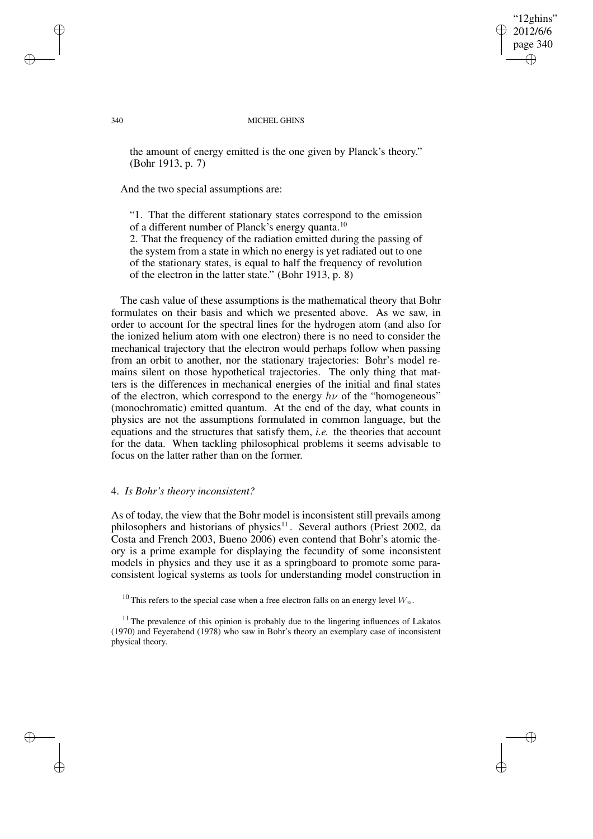"12ghins" 2012/6/6 page 340 ✐ ✐

✐

✐

### 340 MICHEL GHINS

the amount of energy emitted is the one given by Planck's theory." (Bohr 1913, p. 7)

And the two special assumptions are:

"1. That the different stationary states correspond to the emission of a different number of Planck's energy quanta.<sup>10</sup>

2. That the frequency of the radiation emitted during the passing of the system from a state in which no energy is yet radiated out to one of the stationary states, is equal to half the frequency of revolution of the electron in the latter state." (Bohr 1913, p. 8)

The cash value of these assumptions is the mathematical theory that Bohr formulates on their basis and which we presented above. As we saw, in order to account for the spectral lines for the hydrogen atom (and also for the ionized helium atom with one electron) there is no need to consider the mechanical trajectory that the electron would perhaps follow when passing from an orbit to another, nor the stationary trajectories: Bohr's model remains silent on those hypothetical trajectories. The only thing that matters is the differences in mechanical energies of the initial and final states of the electron, which correspond to the energy  $h\nu$  of the "homogeneous" (monochromatic) emitted quantum. At the end of the day, what counts in physics are not the assumptions formulated in common language, but the equations and the structures that satisfy them, *i.e.* the theories that account for the data. When tackling philosophical problems it seems advisable to focus on the latter rather than on the former.

## 4. *Is Bohr's theory inconsistent?*

As of today, the view that the Bohr model is inconsistent still prevails among philosophers and historians of physics<sup>11</sup>. Several authors (Priest 2002, da Costa and French 2003, Bueno 2006) even contend that Bohr's atomic theory is a prime example for displaying the fecundity of some inconsistent models in physics and they use it as a springboard to promote some paraconsistent logical systems as tools for understanding model construction in

<sup>10</sup> This refers to the special case when a free electron falls on an energy level  $W_n$ .

 $11$  The prevalence of this opinion is probably due to the lingering influences of Lakatos (1970) and Feyerabend (1978) who saw in Bohr's theory an exemplary case of inconsistent physical theory.

✐

✐

✐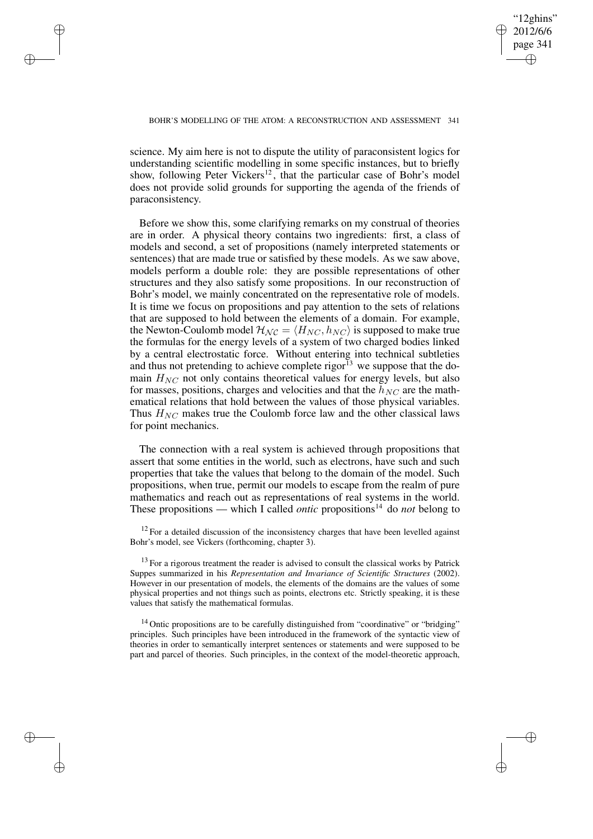✐

## BOHR'S MODELLING OF THE ATOM: A RECONSTRUCTION AND ASSESSMENT 341

✐

✐

✐

✐

science. My aim here is not to dispute the utility of paraconsistent logics for understanding scientific modelling in some specific instances, but to briefly show, following Peter Vickers<sup>12</sup>, that the particular case of Bohr's model does not provide solid grounds for supporting the agenda of the friends of paraconsistency.

Before we show this, some clarifying remarks on my construal of theories are in order. A physical theory contains two ingredients: first, a class of models and second, a set of propositions (namely interpreted statements or sentences) that are made true or satisfied by these models. As we saw above, models perform a double role: they are possible representations of other structures and they also satisfy some propositions. In our reconstruction of Bohr's model, we mainly concentrated on the representative role of models. It is time we focus on propositions and pay attention to the sets of relations that are supposed to hold between the elements of a domain. For example, the Newton-Coulomb model  $\mathcal{H}_{\mathcal{NC}} = \langle H_{NC}, h_{NC} \rangle$  is supposed to make true the formulas for the energy levels of a system of two charged bodies linked by a central electrostatic force. Without entering into technical subtleties and thus not pretending to achieve complete rigor<sup>13</sup> we suppose that the domain  $H_{NC}$  not only contains theoretical values for energy levels, but also for masses, positions, charges and velocities and that the  $h_{NC}$  are the mathematical relations that hold between the values of those physical variables. Thus  $H_{NC}$  makes true the Coulomb force law and the other classical laws for point mechanics.

The connection with a real system is achieved through propositions that assert that some entities in the world, such as electrons, have such and such properties that take the values that belong to the domain of the model. Such propositions, when true, permit our models to escape from the realm of pure mathematics and reach out as representations of real systems in the world. These propositions — which I called *ontic* propositions<sup>14</sup> do *not* belong to

 $12$  For a detailed discussion of the inconsistency charges that have been levelled against Bohr's model, see Vickers (forthcoming, chapter 3).

 $13$  For a rigorous treatment the reader is advised to consult the classical works by Patrick Suppes summarized in his *Representation and Invariance of Scientific Structures* (2002). However in our presentation of models, the elements of the domains are the values of some physical properties and not things such as points, electrons etc. Strictly speaking, it is these values that satisfy the mathematical formulas.

 $14$  Ontic propositions are to be carefully distinguished from "coordinative" or "bridging" principles. Such principles have been introduced in the framework of the syntactic view of theories in order to semantically interpret sentences or statements and were supposed to be part and parcel of theories. Such principles, in the context of the model-theoretic approach,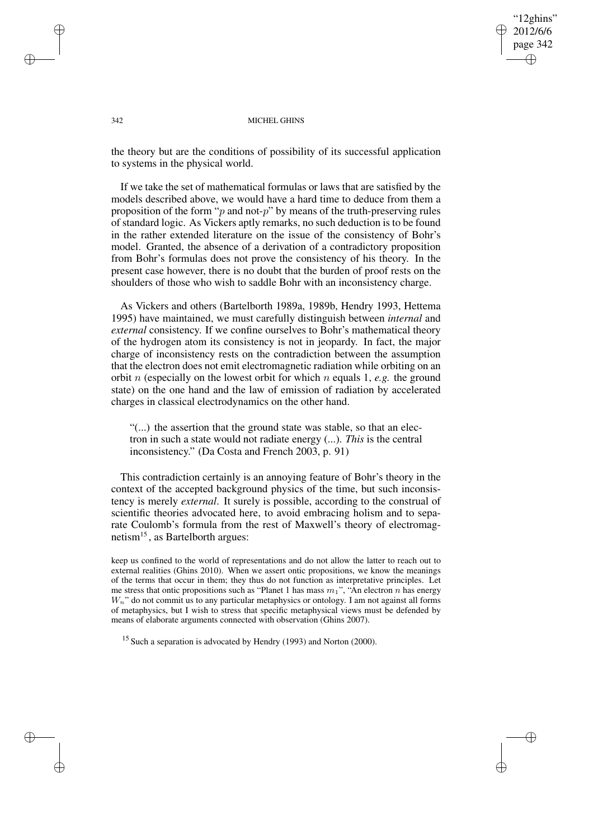"12ghins" 2012/6/6 page 342 ✐ ✐

✐

✐

### 342 MICHEL GHINS

the theory but are the conditions of possibility of its successful application to systems in the physical world.

If we take the set of mathematical formulas or laws that are satisfied by the models described above, we would have a hard time to deduce from them a proposition of the form " $p$  and not- $p$ " by means of the truth-preserving rules of standard logic. As Vickers aptly remarks, no such deduction is to be found in the rather extended literature on the issue of the consistency of Bohr's model. Granted, the absence of a derivation of a contradictory proposition from Bohr's formulas does not prove the consistency of his theory. In the present case however, there is no doubt that the burden of proof rests on the shoulders of those who wish to saddle Bohr with an inconsistency charge.

As Vickers and others (Bartelborth 1989a, 1989b, Hendry 1993, Hettema 1995) have maintained, we must carefully distinguish between *internal* and *external* consistency. If we confine ourselves to Bohr's mathematical theory of the hydrogen atom its consistency is not in jeopardy. In fact, the major charge of inconsistency rests on the contradiction between the assumption that the electron does not emit electromagnetic radiation while orbiting on an orbit n (especially on the lowest orbit for which n equals 1, *e.g.* the ground state) on the one hand and the law of emission of radiation by accelerated charges in classical electrodynamics on the other hand.

"(...) the assertion that the ground state was stable, so that an electron in such a state would not radiate energy (...). *This* is the central inconsistency." (Da Costa and French 2003, p. 91)

This contradiction certainly is an annoying feature of Bohr's theory in the context of the accepted background physics of the time, but such inconsistency is merely *external*. It surely is possible, according to the construal of scientific theories advocated here, to avoid embracing holism and to separate Coulomb's formula from the rest of Maxwell's theory of electromagnetism<sup>15</sup>, as Bartelborth argues:

keep us confined to the world of representations and do not allow the latter to reach out to external realities (Ghins 2010). When we assert ontic propositions, we know the meanings of the terms that occur in them; they thus do not function as interpretative principles. Let me stress that ontic propositions such as "Planet 1 has mass  $m_1$ ", "An electron n has energy  $W_n$ " do not commit us to any particular metaphysics or ontology. I am not against all forms of metaphysics, but I wish to stress that specific metaphysical views must be defended by means of elaborate arguments connected with observation (Ghins 2007).

 $15$  Such a separation is advocated by Hendry (1993) and Norton (2000).

✐

✐

✐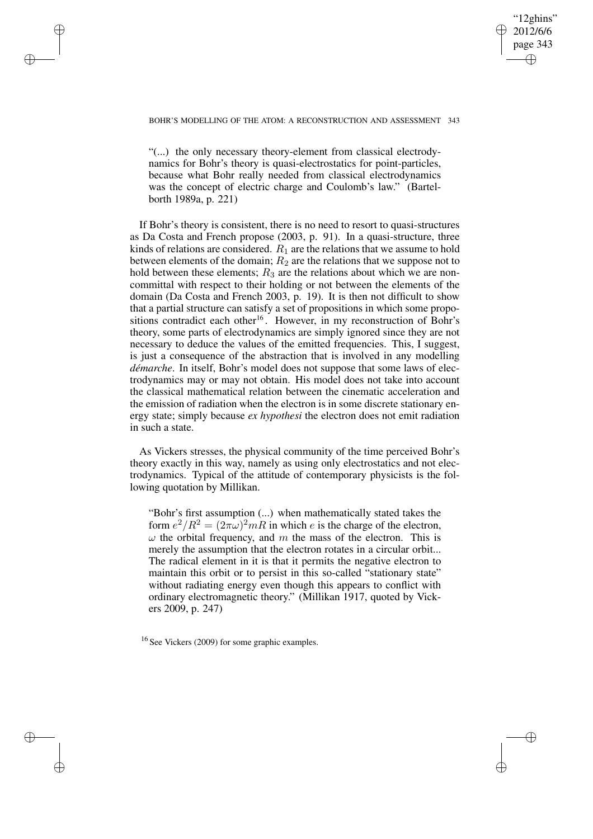## "12ghins" 2012/6/6 page 343 ✐ ✐

✐

✐

### BOHR'S MODELLING OF THE ATOM: A RECONSTRUCTION AND ASSESSMENT 343

✐

✐

✐

✐

"(...) the only necessary theory-element from classical electrodynamics for Bohr's theory is quasi-electrostatics for point-particles, because what Bohr really needed from classical electrodynamics was the concept of electric charge and Coulomb's law." (Bartelborth 1989a, p. 221)

If Bohr's theory is consistent, there is no need to resort to quasi-structures as Da Costa and French propose (2003, p. 91). In a quasi-structure, three kinds of relations are considered.  $R_1$  are the relations that we assume to hold between elements of the domain;  $R_2$  are the relations that we suppose not to hold between these elements;  $R_3$  are the relations about which we are noncommittal with respect to their holding or not between the elements of the domain (Da Costa and French 2003, p. 19). It is then not difficult to show that a partial structure can satisfy a set of propositions in which some propositions contradict each other<sup>16</sup>. However, in my reconstruction of Bohr's theory, some parts of electrodynamics are simply ignored since they are not necessary to deduce the values of the emitted frequencies. This, I suggest, is just a consequence of the abstraction that is involved in any modelling *démarche*. In itself, Bohr's model does not suppose that some laws of electrodynamics may or may not obtain. His model does not take into account the classical mathematical relation between the cinematic acceleration and the emission of radiation when the electron is in some discrete stationary energy state; simply because *ex hypothesi* the electron does not emit radiation in such a state.

As Vickers stresses, the physical community of the time perceived Bohr's theory exactly in this way, namely as using only electrostatics and not electrodynamics. Typical of the attitude of contemporary physicists is the following quotation by Millikan.

"Bohr's first assumption (...) when mathematically stated takes the form  $e^2/R^2 = (2\pi\omega)^2 mR$  in which e is the charge of the electron,  $\omega$  the orbital frequency, and m the mass of the electron. This is merely the assumption that the electron rotates in a circular orbit... The radical element in it is that it permits the negative electron to maintain this orbit or to persist in this so-called "stationary state" without radiating energy even though this appears to conflict with ordinary electromagnetic theory." (Millikan 1917, quoted by Vickers 2009, p. 247)

<sup>16</sup> See Vickers (2009) for some graphic examples.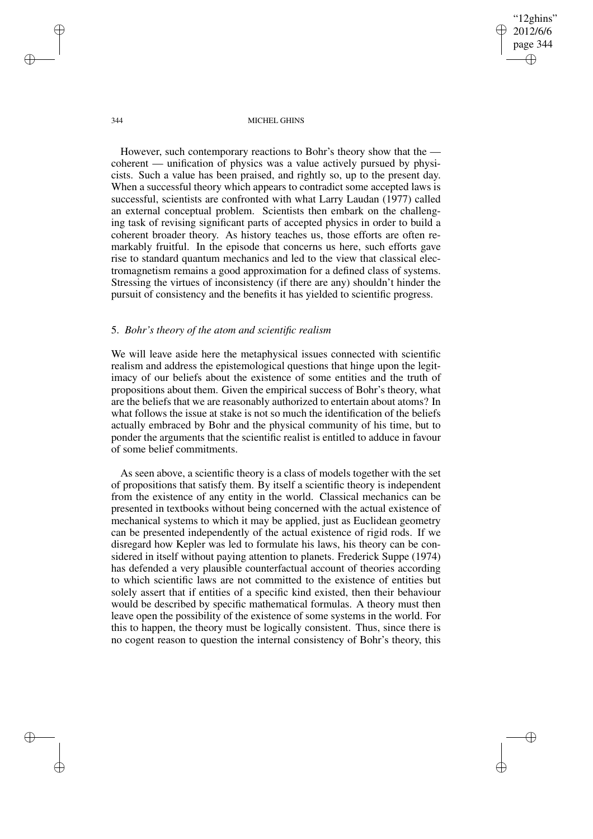"12ghins" 2012/6/6 page 344 ✐ ✐

✐

✐

344 MICHEL GHINS

However, such contemporary reactions to Bohr's theory show that the coherent — unification of physics was a value actively pursued by physicists. Such a value has been praised, and rightly so, up to the present day. When a successful theory which appears to contradict some accepted laws is successful, scientists are confronted with what Larry Laudan (1977) called an external conceptual problem. Scientists then embark on the challenging task of revising significant parts of accepted physics in order to build a coherent broader theory. As history teaches us, those efforts are often remarkably fruitful. In the episode that concerns us here, such efforts gave rise to standard quantum mechanics and led to the view that classical electromagnetism remains a good approximation for a defined class of systems. Stressing the virtues of inconsistency (if there are any) shouldn't hinder the pursuit of consistency and the benefits it has yielded to scientific progress.

# 5. *Bohr's theory of the atom and scientific realism*

✐

✐

✐

✐

We will leave aside here the metaphysical issues connected with scientific realism and address the epistemological questions that hinge upon the legitimacy of our beliefs about the existence of some entities and the truth of propositions about them. Given the empirical success of Bohr's theory, what are the beliefs that we are reasonably authorized to entertain about atoms? In what follows the issue at stake is not so much the identification of the beliefs actually embraced by Bohr and the physical community of his time, but to ponder the arguments that the scientific realist is entitled to adduce in favour of some belief commitments.

As seen above, a scientific theory is a class of models together with the set of propositions that satisfy them. By itself a scientific theory is independent from the existence of any entity in the world. Classical mechanics can be presented in textbooks without being concerned with the actual existence of mechanical systems to which it may be applied, just as Euclidean geometry can be presented independently of the actual existence of rigid rods. If we disregard how Kepler was led to formulate his laws, his theory can be considered in itself without paying attention to planets. Frederick Suppe (1974) has defended a very plausible counterfactual account of theories according to which scientific laws are not committed to the existence of entities but solely assert that if entities of a specific kind existed, then their behaviour would be described by specific mathematical formulas. A theory must then leave open the possibility of the existence of some systems in the world. For this to happen, the theory must be logically consistent. Thus, since there is no cogent reason to question the internal consistency of Bohr's theory, this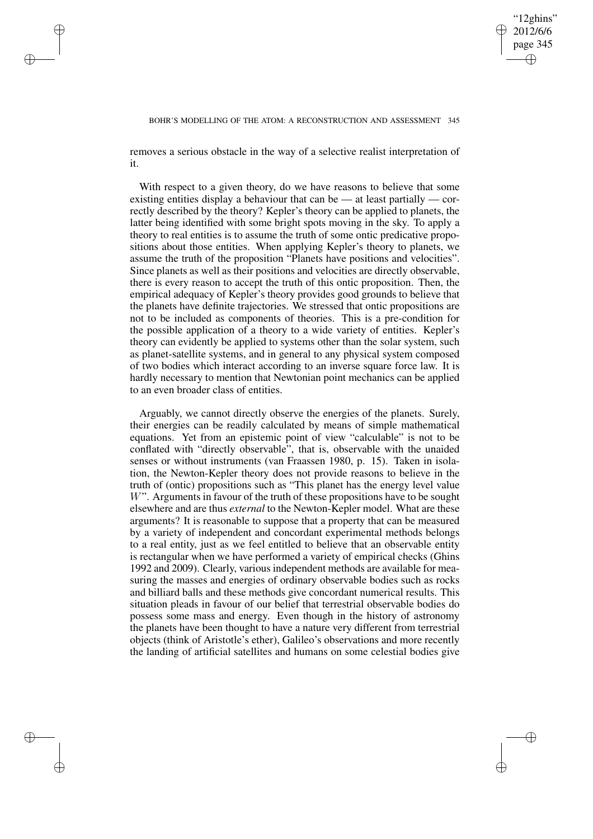✐

## BOHR'S MODELLING OF THE ATOM: A RECONSTRUCTION AND ASSESSMENT 345

removes a serious obstacle in the way of a selective realist interpretation of it.

✐

✐

✐

✐

With respect to a given theory, do we have reasons to believe that some existing entities display a behaviour that can be — at least partially — correctly described by the theory? Kepler's theory can be applied to planets, the latter being identified with some bright spots moving in the sky. To apply a theory to real entities is to assume the truth of some ontic predicative propositions about those entities. When applying Kepler's theory to planets, we assume the truth of the proposition "Planets have positions and velocities". Since planets as well as their positions and velocities are directly observable, there is every reason to accept the truth of this ontic proposition. Then, the empirical adequacy of Kepler's theory provides good grounds to believe that the planets have definite trajectories. We stressed that ontic propositions are not to be included as components of theories. This is a pre-condition for the possible application of a theory to a wide variety of entities. Kepler's theory can evidently be applied to systems other than the solar system, such as planet-satellite systems, and in general to any physical system composed of two bodies which interact according to an inverse square force law. It is hardly necessary to mention that Newtonian point mechanics can be applied to an even broader class of entities.

Arguably, we cannot directly observe the energies of the planets. Surely, their energies can be readily calculated by means of simple mathematical equations. Yet from an epistemic point of view "calculable" is not to be conflated with "directly observable", that is, observable with the unaided senses or without instruments (van Fraassen 1980, p. 15). Taken in isolation, the Newton-Kepler theory does not provide reasons to believe in the truth of (ontic) propositions such as "This planet has the energy level value  $W$ ". Arguments in favour of the truth of these propositions have to be sought elsewhere and are thus *external* to the Newton-Kepler model. What are these arguments? It is reasonable to suppose that a property that can be measured by a variety of independent and concordant experimental methods belongs to a real entity, just as we feel entitled to believe that an observable entity is rectangular when we have performed a variety of empirical checks (Ghins 1992 and 2009). Clearly, various independent methods are available for measuring the masses and energies of ordinary observable bodies such as rocks and billiard balls and these methods give concordant numerical results. This situation pleads in favour of our belief that terrestrial observable bodies do possess some mass and energy. Even though in the history of astronomy the planets have been thought to have a nature very different from terrestrial objects (think of Aristotle's ether), Galileo's observations and more recently the landing of artificial satellites and humans on some celestial bodies give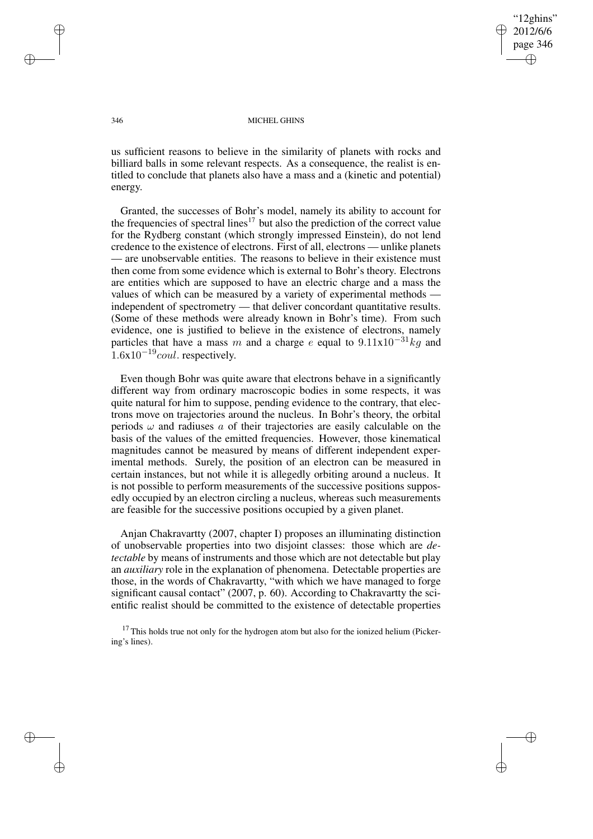"12ghins" 2012/6/6 page 346 ✐ ✐

✐

✐

### 346 MICHEL GHINS

us sufficient reasons to believe in the similarity of planets with rocks and billiard balls in some relevant respects. As a consequence, the realist is entitled to conclude that planets also have a mass and a (kinetic and potential) energy.

Granted, the successes of Bohr's model, namely its ability to account for the frequencies of spectral lines<sup>17</sup> but also the prediction of the correct value for the Rydberg constant (which strongly impressed Einstein), do not lend credence to the existence of electrons. First of all, electrons — unlike planets — are unobservable entities. The reasons to believe in their existence must then come from some evidence which is external to Bohr's theory. Electrons are entities which are supposed to have an electric charge and a mass the values of which can be measured by a variety of experimental methods independent of spectrometry — that deliver concordant quantitative results. (Some of these methods were already known in Bohr's time). From such evidence, one is justified to believe in the existence of electrons, namely particles that have a mass m and a charge e equal to  $9.11 \times 10^{-31}$  kg and  $1.6x10^{-19}$ coul. respectively.

Even though Bohr was quite aware that electrons behave in a significantly different way from ordinary macroscopic bodies in some respects, it was quite natural for him to suppose, pending evidence to the contrary, that electrons move on trajectories around the nucleus. In Bohr's theory, the orbital periods  $\omega$  and radiuses a of their trajectories are easily calculable on the basis of the values of the emitted frequencies. However, those kinematical magnitudes cannot be measured by means of different independent experimental methods. Surely, the position of an electron can be measured in certain instances, but not while it is allegedly orbiting around a nucleus. It is not possible to perform measurements of the successive positions supposedly occupied by an electron circling a nucleus, whereas such measurements are feasible for the successive positions occupied by a given planet.

Anjan Chakravartty (2007, chapter I) proposes an illuminating distinction of unobservable properties into two disjoint classes: those which are *detectable* by means of instruments and those which are not detectable but play an *auxiliary* role in the explanation of phenomena. Detectable properties are those, in the words of Chakravartty, "with which we have managed to forge significant causal contact" (2007, p. 60). According to Chakravartty the scientific realist should be committed to the existence of detectable properties

<sup>17</sup> This holds true not only for the hydrogen atom but also for the ionized helium (Pickering's lines).

✐

✐

✐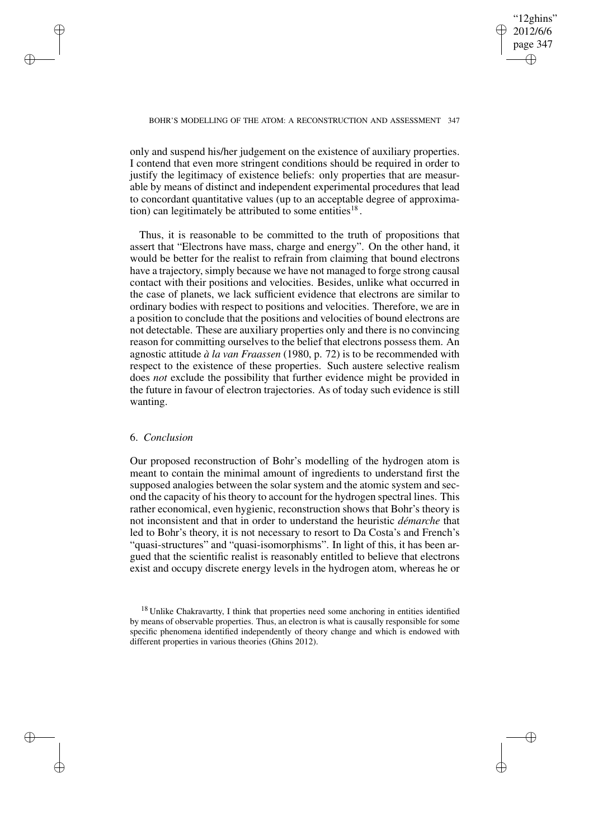✐

### BOHR'S MODELLING OF THE ATOM: A RECONSTRUCTION AND ASSESSMENT 347

only and suspend his/her judgement on the existence of auxiliary properties. I contend that even more stringent conditions should be required in order to justify the legitimacy of existence beliefs: only properties that are measurable by means of distinct and independent experimental procedures that lead to concordant quantitative values (up to an acceptable degree of approximation) can legitimately be attributed to some entities<sup>18</sup>.

Thus, it is reasonable to be committed to the truth of propositions that assert that "Electrons have mass, charge and energy". On the other hand, it would be better for the realist to refrain from claiming that bound electrons have a trajectory, simply because we have not managed to forge strong causal contact with their positions and velocities. Besides, unlike what occurred in the case of planets, we lack sufficient evidence that electrons are similar to ordinary bodies with respect to positions and velocities. Therefore, we are in a position to conclude that the positions and velocities of bound electrons are not detectable. These are auxiliary properties only and there is no convincing reason for committing ourselves to the belief that electrons possess them. An agnostic attitude *à la van Fraassen* (1980, p. 72) is to be recommended with respect to the existence of these properties. Such austere selective realism does *not* exclude the possibility that further evidence might be provided in the future in favour of electron trajectories. As of today such evidence is still wanting.

## 6. *Conclusion*

✐

✐

✐

✐

Our proposed reconstruction of Bohr's modelling of the hydrogen atom is meant to contain the minimal amount of ingredients to understand first the supposed analogies between the solar system and the atomic system and second the capacity of his theory to account for the hydrogen spectral lines. This rather economical, even hygienic, reconstruction shows that Bohr's theory is not inconsistent and that in order to understand the heuristic *démarche* that led to Bohr's theory, it is not necessary to resort to Da Costa's and French's "quasi-structures" and "quasi-isomorphisms". In light of this, it has been argued that the scientific realist is reasonably entitled to believe that electrons exist and occupy discrete energy levels in the hydrogen atom, whereas he or

<sup>&</sup>lt;sup>18</sup> Unlike Chakravartty, I think that properties need some anchoring in entities identified by means of observable properties. Thus, an electron is what is causally responsible for some specific phenomena identified independently of theory change and which is endowed with different properties in various theories (Ghins 2012).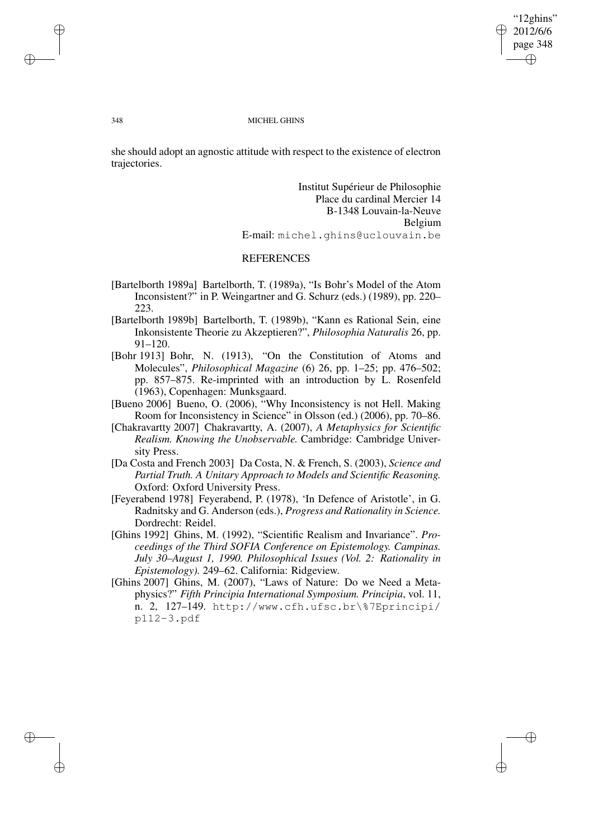"12ghins" 2012/6/6 page 348 ✐ ✐

✐

✐

### 348 MICHEL GHINS

she should adopt an agnostic attitude with respect to the existence of electron trajectories.

> Institut Supérieur de Philosophie Place du cardinal Mercier 14 B-1348 Louvain-la-Neuve Belgium E-mail: michel.ghins@uclouvain.be

# **REFERENCES**

- [Bartelborth 1989a] Bartelborth, T. (1989a), "Is Bohr's Model of the Atom Inconsistent?" in P. Weingartner and G. Schurz (eds.) (1989), pp. 220– 223.
- [Bartelborth 1989b] Bartelborth, T. (1989b), "Kann es Rational Sein, eine Inkonsistente Theorie zu Akzeptieren?", *Philosophia Naturalis* 26, pp. 91–120.
- [Bohr 1913] Bohr, N. (1913), "On the Constitution of Atoms and Molecules", *Philosophical Magazine* (6) 26, pp. 1–25; pp. 476–502; pp. 857–875. Re-imprinted with an introduction by L. Rosenfeld (1963), Copenhagen: Munksgaard.
- [Bueno 2006] Bueno, O. (2006), "Why Inconsistency is not Hell. Making Room for Inconsistency in Science" in Olsson (ed.) (2006), pp. 70–86.
- [Chakravartty 2007] Chakravartty, A. (2007), *A Metaphysics for Scientific Realism. Knowing the Unobservable.* Cambridge: Cambridge University Press.
- [Da Costa and French 2003] Da Costa, N. & French, S. (2003), *Science and Partial Truth. A Unitary Approach to Models and Scientific Reasoning.* Oxford: Oxford University Press.
- [Feyerabend 1978] Feyerabend, P. (1978), 'In Defence of Aristotle', in G. Radnitsky and G. Anderson (eds.), *Progress and Rationality in Science.* Dordrecht: Reidel.
- [Ghins 1992] Ghins, M. (1992), "Scientific Realism and Invariance". *Proceedings of the Third SOFIA Conference on Epistemology. Campinas. July 30–August 1, 1990. Philosophical Issues (Vol. 2: Rationality in Epistemology).* 249–62. California: Ridgeview.
- [Ghins 2007] Ghins, M. (2007), "Laws of Nature: Do we Need a Metaphysics?" *Fifth Principia International Symposium. Principia*, vol. 11, n. 2, 127–149. http://www.cfh.ufsc.br\%7Eprincipi/ p112-3.pdf

✐

✐

✐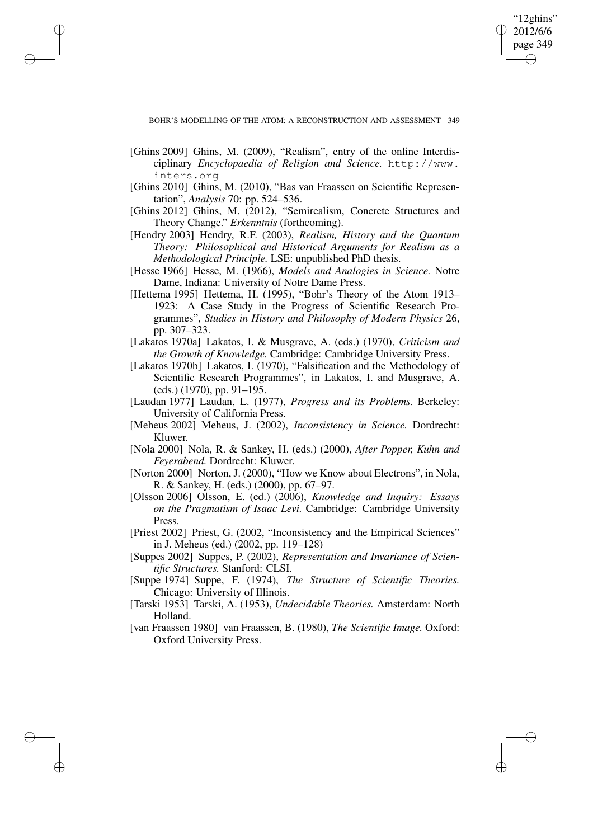"12ghins" 2012/6/6 page 349 ✐ ✐

✐

✐

[Ghins 2009] Ghins, M. (2009), "Realism", entry of the online Interdisciplinary *Encyclopaedia of Religion and Science.* http://www. inters.org

✐

✐

✐

- [Ghins 2010] Ghins, M. (2010), "Bas van Fraassen on Scientific Representation", *Analysis* 70: pp. 524–536.
- [Ghins 2012] Ghins, M. (2012), "Semirealism, Concrete Structures and Theory Change." *Erkenntnis* (forthcoming).
- [Hendry 2003] Hendry, R.F. (2003), *Realism, History and the Quantum Theory: Philosophical and Historical Arguments for Realism as a Methodological Principle.* LSE: unpublished PhD thesis.
- [Hesse 1966] Hesse, M. (1966), *Models and Analogies in Science.* Notre Dame, Indiana: University of Notre Dame Press.
- [Hettema 1995] Hettema, H. (1995), "Bohr's Theory of the Atom 1913– 1923: A Case Study in the Progress of Scientific Research Programmes", *Studies in History and Philosophy of Modern Physics* 26, pp. 307–323.
- [Lakatos 1970a] Lakatos, I. & Musgrave, A. (eds.) (1970), *Criticism and the Growth of Knowledge.* Cambridge: Cambridge University Press.
- [Lakatos 1970b] Lakatos, I. (1970), "Falsification and the Methodology of Scientific Research Programmes", in Lakatos, I. and Musgrave, A. (eds.) (1970), pp. 91–195.
- [Laudan 1977] Laudan, L. (1977), *Progress and its Problems.* Berkeley: University of California Press.
- [Meheus 2002] Meheus, J. (2002), *Inconsistency in Science.* Dordrecht: Kluwer.
- [Nola 2000] Nola, R. & Sankey, H. (eds.) (2000), *After Popper, Kuhn and Feyerabend.* Dordrecht: Kluwer.
- [Norton 2000] Norton, J. (2000), "How we Know about Electrons", in Nola, R. & Sankey, H. (eds.) (2000), pp. 67–97.
- [Olsson 2006] Olsson, E. (ed.) (2006), *Knowledge and Inquiry: Essays on the Pragmatism of Isaac Levi.* Cambridge: Cambridge University Press.
- [Priest 2002] Priest, G. (2002, "Inconsistency and the Empirical Sciences" in J. Meheus (ed.) (2002, pp. 119–128)
- [Suppes 2002] Suppes, P. (2002), *Representation and Invariance of Scientific Structures.* Stanford: CLSI.
- [Suppe 1974] Suppe, F. (1974), *The Structure of Scientific Theories.* Chicago: University of Illinois.
- [Tarski 1953] Tarski, A. (1953), *Undecidable Theories.* Amsterdam: North Holland.
- [van Fraassen 1980] van Fraassen, B. (1980), *The Scientific Image.* Oxford: Oxford University Press.